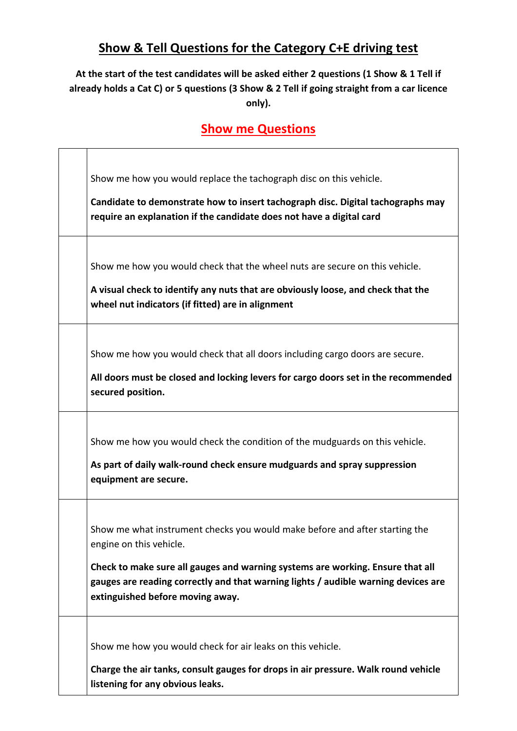### **Show & Tell Questions for the Category C+E driving test**

#### **At the start of the test candidates will be asked either 2 questions (1 Show & 1 Tell if already holds a Cat C) or 5 questions (3 Show & 2 Tell if going straight from a car licence only).**

#### **Show me Questions**

| Show me how you would replace the tachograph disc on this vehicle.<br>Candidate to demonstrate how to insert tachograph disc. Digital tachographs may<br>require an explanation if the candidate does not have a digital card                                                                                      |
|--------------------------------------------------------------------------------------------------------------------------------------------------------------------------------------------------------------------------------------------------------------------------------------------------------------------|
| Show me how you would check that the wheel nuts are secure on this vehicle.<br>A visual check to identify any nuts that are obviously loose, and check that the<br>wheel nut indicators (if fitted) are in alignment                                                                                               |
| Show me how you would check that all doors including cargo doors are secure.<br>All doors must be closed and locking levers for cargo doors set in the recommended<br>secured position.                                                                                                                            |
| Show me how you would check the condition of the mudguards on this vehicle.<br>As part of daily walk-round check ensure mudguards and spray suppression<br>equipment are secure.                                                                                                                                   |
| Show me what instrument checks you would make before and after starting the<br>engine on this vehicle.<br>Check to make sure all gauges and warning systems are working. Ensure that all<br>gauges are reading correctly and that warning lights / audible warning devices are<br>extinguished before moving away. |
| Show me how you would check for air leaks on this vehicle.<br>Charge the air tanks, consult gauges for drops in air pressure. Walk round vehicle<br>listening for any obvious leaks.                                                                                                                               |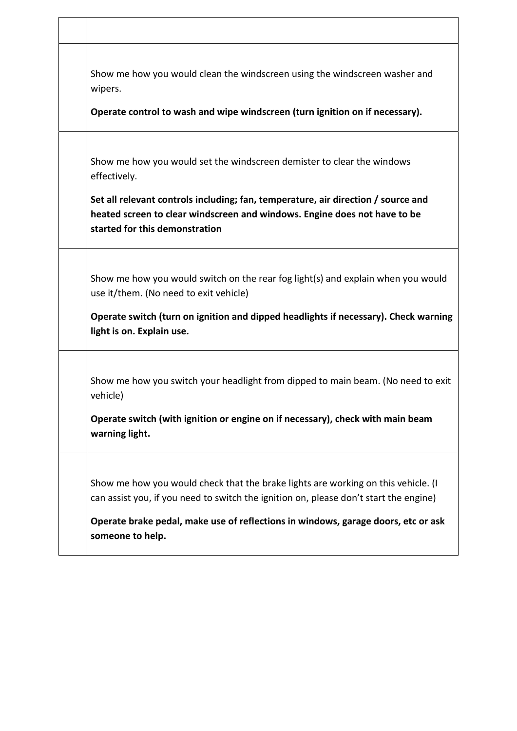| Show me how you would clean the windscreen using the windscreen washer and<br>wipers.<br>Operate control to wash and wipe windscreen (turn ignition on if necessary).                                                                                    |
|----------------------------------------------------------------------------------------------------------------------------------------------------------------------------------------------------------------------------------------------------------|
| Show me how you would set the windscreen demister to clear the windows<br>effectively.<br>Set all relevant controls including; fan, temperature, air direction / source and<br>heated screen to clear windscreen and windows. Engine does not have to be |
| started for this demonstration                                                                                                                                                                                                                           |
| Show me how you would switch on the rear fog light(s) and explain when you would<br>use it/them. (No need to exit vehicle)                                                                                                                               |
| Operate switch (turn on ignition and dipped headlights if necessary). Check warning<br>light is on. Explain use.                                                                                                                                         |
| Show me how you switch your headlight from dipped to main beam. (No need to exit<br>vehicle)                                                                                                                                                             |
| Operate switch (with ignition or engine on if necessary), check with main beam<br>warning light.                                                                                                                                                         |
| Show me how you would check that the brake lights are working on this vehicle. (I<br>can assist you, if you need to switch the ignition on, please don't start the engine)                                                                               |
| Operate brake pedal, make use of reflections in windows, garage doors, etc or ask<br>someone to help.                                                                                                                                                    |

٦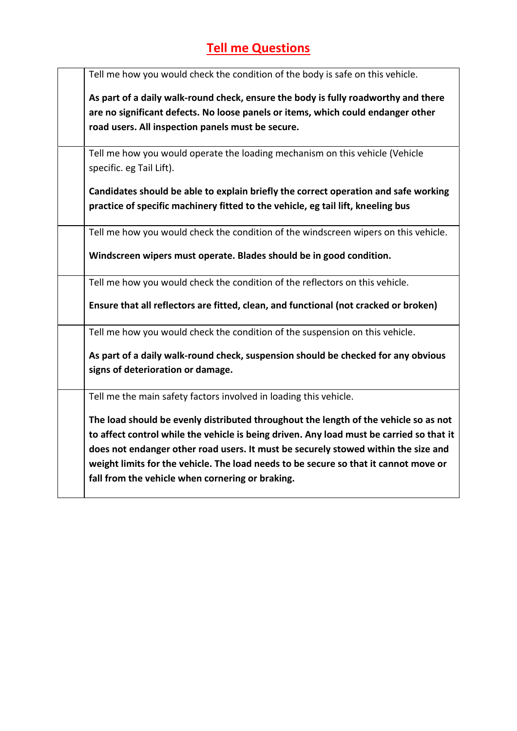## **Tell me Questions**

| Tell me how you would check the condition of the body is safe on this vehicle.                                                           |
|------------------------------------------------------------------------------------------------------------------------------------------|
| As part of a daily walk-round check, ensure the body is fully roadworthy and there                                                       |
| are no significant defects. No loose panels or items, which could endanger other                                                         |
| road users. All inspection panels must be secure.                                                                                        |
| Tell me how you would operate the loading mechanism on this vehicle (Vehicle                                                             |
| specific. eg Tail Lift).                                                                                                                 |
| Candidates should be able to explain briefly the correct operation and safe working                                                      |
| practice of specific machinery fitted to the vehicle, eg tail lift, kneeling bus                                                         |
| Tell me how you would check the condition of the windscreen wipers on this vehicle.                                                      |
| Windscreen wipers must operate. Blades should be in good condition.                                                                      |
| Tell me how you would check the condition of the reflectors on this vehicle.                                                             |
| Ensure that all reflectors are fitted, clean, and functional (not cracked or broken)                                                     |
| Tell me how you would check the condition of the suspension on this vehicle.                                                             |
| As part of a daily walk-round check, suspension should be checked for any obvious<br>signs of deterioration or damage.                   |
| Tell me the main safety factors involved in loading this vehicle.                                                                        |
| The load should be evenly distributed throughout the length of the vehicle so as not                                                     |
| to affect control while the vehicle is being driven. Any load must be carried so that it                                                 |
| does not endanger other road users. It must be securely stowed within the size and                                                       |
| weight limits for the vehicle. The load needs to be secure so that it cannot move or<br>fall from the vehicle when cornering or braking. |
|                                                                                                                                          |